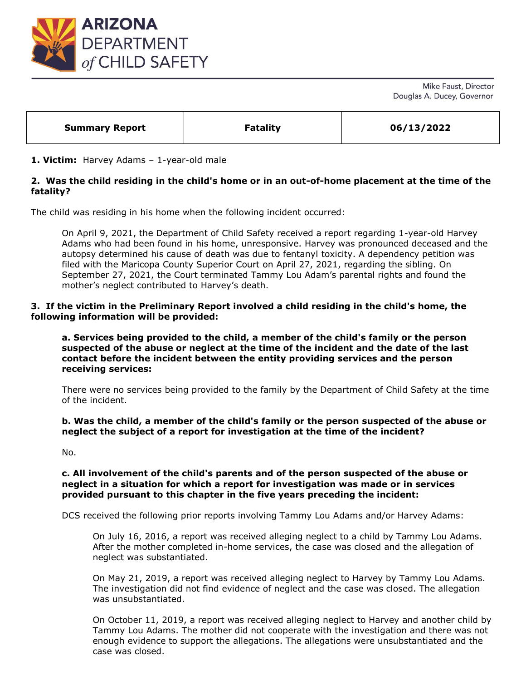

Mike Faust, Director Douglas A. Ducey, Governor

| <b>Summary Report</b> | <b>Fatality</b> | 06/13/2022 |
|-----------------------|-----------------|------------|
|                       |                 |            |

### **1. Victim:** Harvey Adams – 1-year-old male

# **2. Was the child residing in the child's home or in an out-of-home placement at the time of the fatality?**

The child was residing in his home when the following incident occurred:

On April 9, 2021, the Department of Child Safety received a report regarding 1-year-old Harvey Adams who had been found in his home, unresponsive. Harvey was pronounced deceased and the autopsy determined his cause of death was due to fentanyl toxicity. A dependency petition was filed with the Maricopa County Superior Court on April 27, 2021, regarding the sibling. On September 27, 2021, the Court terminated Tammy Lou Adam's parental rights and found the mother's neglect contributed to Harvey's death.

#### **3. If the victim in the Preliminary Report involved a child residing in the child's home, the following information will be provided:**

**a. Services being provided to the child, a member of the child's family or the person suspected of the abuse or neglect at the time of the incident and the date of the last contact before the incident between the entity providing services and the person receiving services:** 

There were no services being provided to the family by the Department of Child Safety at the time of the incident.

#### **b. Was the child, a member of the child's family or the person suspected of the abuse or neglect the subject of a report for investigation at the time of the incident?**

No.

### **c. All involvement of the child's parents and of the person suspected of the abuse or neglect in a situation for which a report for investigation was made or in services provided pursuant to this chapter in the five years preceding the incident:**

DCS received the following prior reports involving Tammy Lou Adams and/or Harvey Adams:

On July 16, 2016, a report was received alleging neglect to a child by Tammy Lou Adams. After the mother completed in-home services, the case was closed and the allegation of neglect was substantiated.

On May 21, 2019, a report was received alleging neglect to Harvey by Tammy Lou Adams. The investigation did not find evidence of neglect and the case was closed. The allegation was unsubstantiated.

On October 11, 2019, a report was received alleging neglect to Harvey and another child by Tammy Lou Adams. The mother did not cooperate with the investigation and there was not enough evidence to support the allegations. The allegations were unsubstantiated and the case was closed.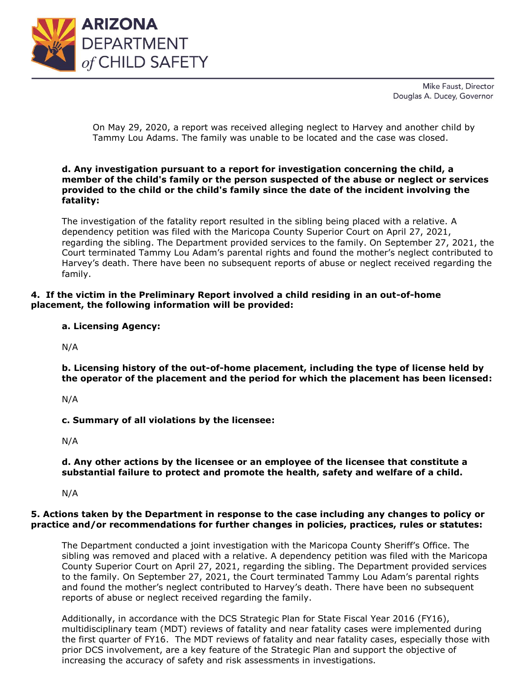

Mike Faust, Director Douglas A. Ducey, Governor

On May 29, 2020, a report was received alleging neglect to Harvey and another child by Tammy Lou Adams. The family was unable to be located and the case was closed.

### **d. Any investigation pursuant to a report for investigation concerning the child, a member of the child's family or the person suspected of the abuse or neglect or services provided to the child or the child's family since the date of the incident involving the fatality:**

The investigation of the fatality report resulted in the sibling being placed with a relative. A dependency petition was filed with the Maricopa County Superior Court on April 27, 2021, regarding the sibling. The Department provided services to the family. On September 27, 2021, the Court terminated Tammy Lou Adam's parental rights and found the mother's neglect contributed to Harvey's death. There have been no subsequent reports of abuse or neglect received regarding the family.

## **4. If the victim in the Preliminary Report involved a child residing in an out-of-home placement, the following information will be provided:**

**a. Licensing Agency:** 

N/A

**b. Licensing history of the out-of-home placement, including the type of license held by the operator of the placement and the period for which the placement has been licensed:** 

N/A

**c. Summary of all violations by the licensee:** 

N/A

### **d. Any other actions by the licensee or an employee of the licensee that constitute a substantial failure to protect and promote the health, safety and welfare of a child.**

N/A

### **5. Actions taken by the Department in response to the case including any changes to policy or practice and/or recommendations for further changes in policies, practices, rules or statutes:**

The Department conducted a joint investigation with the Maricopa County Sheriff's Office. The sibling was removed and placed with a relative. A dependency petition was filed with the Maricopa County Superior Court on April 27, 2021, regarding the sibling. The Department provided services to the family. On September 27, 2021, the Court terminated Tammy Lou Adam's parental rights and found the mother's neglect contributed to Harvey's death. There have been no subsequent reports of abuse or neglect received regarding the family.

Additionally, in accordance with the DCS Strategic Plan for State Fiscal Year 2016 (FY16), multidisciplinary team (MDT) reviews of fatality and near fatality cases were implemented during the first quarter of FY16. The MDT reviews of fatality and near fatality cases, especially those with prior DCS involvement, are a key feature of the Strategic Plan and support the objective of increasing the accuracy of safety and risk assessments in investigations.